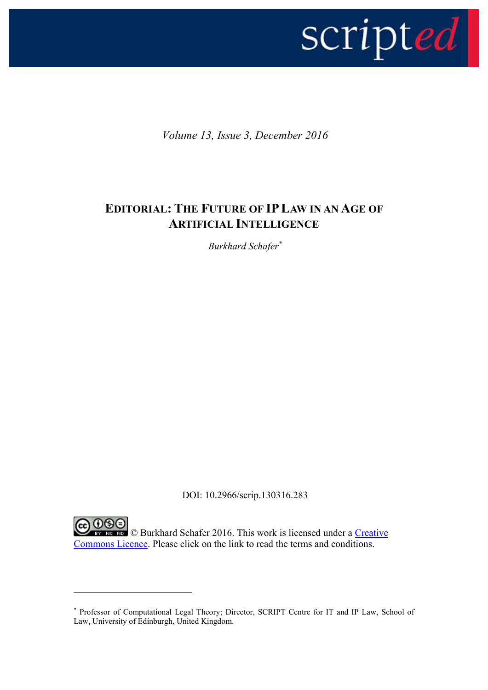

*Volume 13, Issue 3, December 2016*

## **EDITORIAL: THE FUTURE OF IPLAW IN AN AGE OF ARTIFICIAL INTELLIGENCE**

*Burkhard Schafer\**

DOI: 10.2966/scrip.130316.283

CO DSO<br>
When **Burkhard Schafer 2016**. This work is licensed under a Creative [Commons Licence.](http://creativecommons.org/licenses/by-nc-nd/2.5/scotland/) Please click on the link to read the terms and conditions.

1

<sup>\*</sup> Professor of Computational Legal Theory; Director, SCRIPT Centre for IT and IP Law, School of Law, University of Edinburgh, United Kingdom.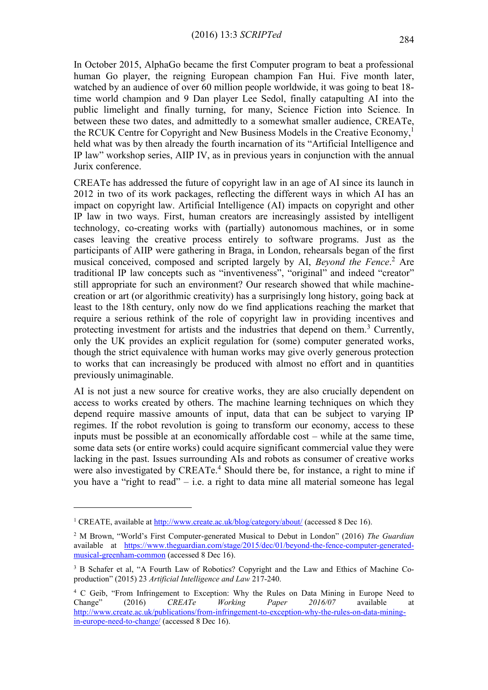In October 2015, AlphaGo became the first Computer program to beat a professional human Go player, the reigning European champion Fan Hui. Five month later, watched by an audience of over 60 million people worldwide, it was going to beat 18 time world champion and 9 Dan player Lee Sedol, finally catapulting AI into the public limelight and finally turning, for many, Science Fiction into Science. In between these two dates, and admittedly to a somewhat smaller audience, CREATe, the RCUK Centre for Copyright and New Business Models in the Creative Economy, 1 held what was by then already the fourth incarnation of its "Artificial Intelligence and IP law" workshop series, AIIP IV, as in previous years in conjunction with the annual Jurix conference.

CREATe has addressed the future of copyright law in an age of AI since its launch in 2012 in two of its work packages, reflecting the different ways in which AI has an impact on copyright law. Artificial Intelligence (AI) impacts on copyright and other IP law in two ways. First, human creators are increasingly assisted by intelligent technology, co-creating works with (partially) autonomous machines, or in some cases leaving the creative process entirely to software programs. Just as the participants of AIIP were gathering in Braga, in London, rehearsals began of the first musical conceived, composed and scripted largely by AI, *Beyond the Fence*. <sup>2</sup> Are traditional IP law concepts such as "inventiveness", "original" and indeed "creator" still appropriate for such an environment? Our research showed that while machinecreation or art (or algorithmic creativity) has a surprisingly long history, going back at least to the 18th century, only now do we find applications reaching the market that require a serious rethink of the role of copyright law in providing incentives and protecting investment for artists and the industries that depend on them.<sup>3</sup> Currently, only the UK provides an explicit regulation for (some) computer generated works, though the strict equivalence with human works may give overly generous protection to works that can increasingly be produced with almost no effort and in quantities previously unimaginable.

AI is not just a new source for creative works, they are also crucially dependent on access to works created by others. The machine learning techniques on which they depend require massive amounts of input, data that can be subject to varying IP regimes. If the robot revolution is going to transform our economy, access to these inputs must be possible at an economically affordable cost – while at the same time, some data sets (or entire works) could acquire significant commercial value they were lacking in the past. Issues surrounding AIs and robots as consumer of creative works were also investigated by CREATe.<sup>4</sup> Should there be, for instance, a right to mine if you have a "right to read" – i.e. a right to data mine all material someone has legal

1

<sup>&</sup>lt;sup>1</sup> CREATE, available at<http://www.create.ac.uk/blog/category/about/> (accessed 8 Dec 16).

<sup>2</sup> M Brown, "World's First Computer-generated Musical to Debut in London" (2016) *The Guardian* available at [https://www.theguardian.com/stage/2015/dec/01/beyond-the-fence-computer-generated](https://www.theguardian.com/stage/2015/dec/01/beyond-the-fence-computer-generated-musical-greenham-common)[musical-greenham-common](https://www.theguardian.com/stage/2015/dec/01/beyond-the-fence-computer-generated-musical-greenham-common) (accessed 8 Dec 16).

<sup>&</sup>lt;sup>3</sup> B Schafer et al, "A Fourth Law of Robotics? Copyright and the Law and Ethics of Machine Coproduction" (2015) 23 *Artificial Intelligence and Law* 217-240.

<sup>&</sup>lt;sup>4</sup> C Geib, "From Infringement to Exception: Why the Rules on Data Mining in Europe Need to Change" (2016) *CREATe Working Paper 2016/07* available at [http://www.create.ac.uk/publications/from-infringement-to-exception-why-the-rules-on-data-mining](http://www.create.ac.uk/publications/from-infringement-to-exception-why-the-rules-on-data-mining-in-europe-need-to-change/)[in-europe-need-to-change/](http://www.create.ac.uk/publications/from-infringement-to-exception-why-the-rules-on-data-mining-in-europe-need-to-change/) (accessed 8 Dec 16).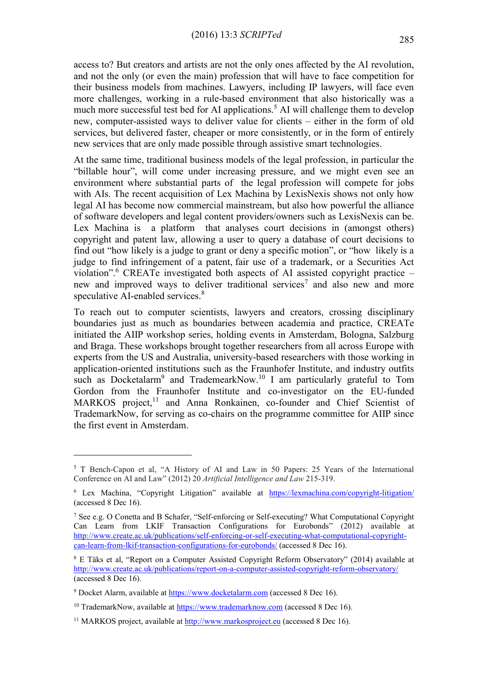access to? But creators and artists are not the only ones affected by the AI revolution, and not the only (or even the main) profession that will have to face competition for their business models from machines. Lawyers, including IP lawyers, will face even more challenges, working in a rule-based environment that also historically was a much more successful test bed for AI applications.<sup>5</sup> AI will challenge them to develop new, computer-assisted ways to deliver value for clients – either in the form of old services, but delivered faster, cheaper or more consistently, or in the form of entirely new services that are only made possible through assistive smart technologies.

At the same time, traditional business models of the legal profession, in particular the "billable hour", will come under increasing pressure, and we might even see an environment where substantial parts of the legal profession will compete for jobs with AIs. The recent acquisition of Lex Machina by LexisNexis shows not only how legal AI has become now commercial mainstream, but also how powerful the alliance of software developers and legal content providers/owners such as LexisNexis can be. Lex Machina is a platform that analyses court decisions in (amongst others) copyright and patent law, allowing a user to query a database of court decisions to find out "how likely is a judge to grant or deny a specific motion", or "how likely is a judge to find infringement of a patent, fair use of a trademark, or a Securities Act violation".<sup>6</sup> CREATe investigated both aspects of AI assisted copyright practice  $$ new and improved ways to deliver traditional services<sup>7</sup> and also new and more speculative AI-enabled services.<sup>8</sup>

To reach out to computer scientists, lawyers and creators, crossing disciplinary boundaries just as much as boundaries between academia and practice, CREATe initiated the AIIP workshop series, holding events in Amsterdam, Bologna, Salzburg and Braga. These workshops brought together researchers from all across Europe with experts from the US and Australia, university-based researchers with those working in application-oriented institutions such as the Fraunhofer Institute, and industry outfits such as Docketalarm<sup>9</sup> and TrademearkNow.<sup>10</sup> I am particularly grateful to Tom Gordon from the Fraunhofer Institute and co-investigator on the EU-funded MARKOS project,<sup>11</sup> and Anna Ronkainen, co-founder and Chief Scientist of TrademarkNow, for serving as co-chairs on the programme committee for AIIP since the first event in Amsterdam.

1

<sup>5</sup> T Bench-Capon et al, "A History of AI and Law in 50 Papers: 25 Years of the International Conference on AI and Law" (2012) 20 *Artificial Intelligence and Law* 215-319.

<sup>&</sup>lt;sup>6</sup> Lex Machina, "Copyright Litigation" available at <https://lexmachina.com/copyright-litigation/> (accessed 8 Dec 16).

<sup>7</sup> See e.g. O Conetta and B Schafer, "Self-enforcing or Self-executing? What Computational Copyright Can Learn from LKIF Transaction Configurations for Eurobonds" (2012) available at [http://www.create.ac.uk/publications/self-enforcing-or-self-executing-what-computational-copyright](http://www.create.ac.uk/publications/self-enforcing-or-self-executing-what-computational-copyright-can-learn-from-lkif-transaction-configurations-for-eurobonds/)[can-learn-from-lkif-transaction-configurations-for-eurobonds/](http://www.create.ac.uk/publications/self-enforcing-or-self-executing-what-computational-copyright-can-learn-from-lkif-transaction-configurations-for-eurobonds/) (accessed 8 Dec 16).

<sup>8</sup> E Täks et al, "Report on a Computer Assisted Copyright Reform Observatory" (2014) available at <http://www.create.ac.uk/publications/report-on-a-computer-assisted-copyright-reform-observatory/> (accessed 8 Dec 16).

<sup>9</sup> Docket Alarm, available at [https://www.docketalarm.com](https://www.docketalarm.com/) (accessed 8 Dec 16).

<sup>&</sup>lt;sup>10</sup> TrademarkNow, available at  $\frac{https://www.trademarknow.com}{https://www.trademarknow.com}$  $\frac{https://www.trademarknow.com}{https://www.trademarknow.com}$  $\frac{https://www.trademarknow.com}{https://www.trademarknow.com}$  (accessed 8 Dec 16).

 $11$  MARKOS project, available at  $\frac{http://www.mathosproject.eu}{}$  (accessed 8 Dec 16).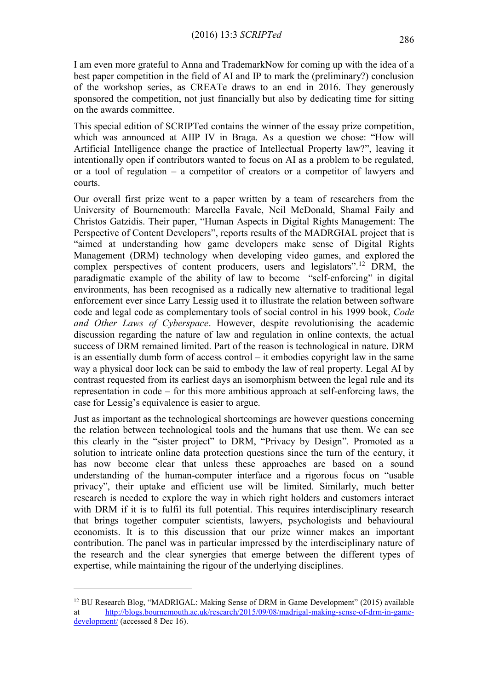I am even more grateful to Anna and TrademarkNow for coming up with the idea of a best paper competition in the field of AI and IP to mark the (preliminary?) conclusion of the workshop series, as CREATe draws to an end in 2016. They generously sponsored the competition, not just financially but also by dedicating time for sitting on the awards committee.

This special edition of SCRIPTed contains the winner of the essay prize competition, which was announced at AIIP IV in Braga. As a question we chose: "How will Artificial Intelligence change the practice of Intellectual Property law?", leaving it intentionally open if contributors wanted to focus on AI as a problem to be regulated, or a tool of regulation – a competitor of creators or a competitor of lawyers and courts.

Our overall first prize went to a paper written by a team of researchers from the University of Bournemouth: Marcella Favale, Neil McDonald, Shamal Faily and Christos Gatzidis. Their paper, "Human Aspects in Digital Rights Management: The Perspective of Content Developers", reports results of the MADRGIAL project that is "aimed at understanding how game developers make sense of Digital Rights Management (DRM) technology when developing video games, and explored the complex perspectives of content producers, users and legislators".<sup>12</sup> DRM, the paradigmatic example of the ability of law to become "self-enforcing" in digital environments, has been recognised as a radically new alternative to traditional legal enforcement ever since Larry Lessig used it to illustrate the relation between software code and legal code as complementary tools of social control in his 1999 book, *Code and Other Laws of Cyberspace*. However, despite revolutionising the academic discussion regarding the nature of law and regulation in online contexts, the actual success of DRM remained limited. Part of the reason is technological in nature. DRM is an essentially dumb form of access control – it embodies copyright law in the same way a physical door lock can be said to embody the law of real property. Legal AI by contrast requested from its earliest days an isomorphism between the legal rule and its representation in code – for this more ambitious approach at self-enforcing laws, the case for Lessig's equivalence is easier to argue.

Just as important as the technological shortcomings are however questions concerning the relation between technological tools and the humans that use them. We can see this clearly in the "sister project" to DRM, "Privacy by Design". Promoted as a solution to intricate online data protection questions since the turn of the century, it has now become clear that unless these approaches are based on a sound understanding of the human-computer interface and a rigorous focus on "usable privacy", their uptake and efficient use will be limited. Similarly, much better research is needed to explore the way in which right holders and customers interact with DRM if it is to fulfil its full potential. This requires interdisciplinary research that brings together computer scientists, lawyers, psychologists and behavioural economists. It is to this discussion that our prize winner makes an important contribution. The panel was in particular impressed by the interdisciplinary nature of the research and the clear synergies that emerge between the different types of expertise, while maintaining the rigour of the underlying disciplines.

<u>.</u>

<sup>12</sup> BU Research Blog, "MADRIGAL: Making Sense of DRM in Game Development" (2015) available at [http://blogs.bournemouth.ac.uk/research/2015/09/08/madrigal-making-sense-of-drm-in-game](http://blogs.bournemouth.ac.uk/research/2015/09/08/madrigal-making-sense-of-drm-in-game-development/)[development/](http://blogs.bournemouth.ac.uk/research/2015/09/08/madrigal-making-sense-of-drm-in-game-development/) (accessed 8 Dec 16).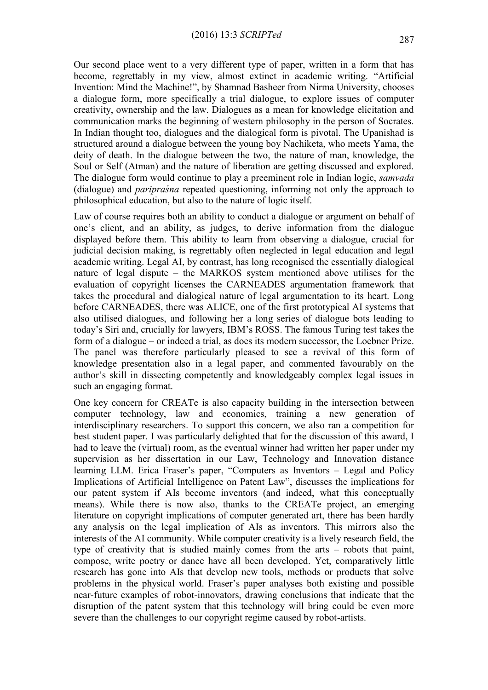Our second place went to a very different type of paper, written in a form that has become, regrettably in my view, almost extinct in academic writing. "Artificial Invention: Mind the Machine!", by Shamnad Basheer from Nirma University, chooses a dialogue form, more specifically a trial dialogue, to explore issues of computer creativity, ownership and the law. Dialogues as a mean for knowledge elicitation and communication marks the beginning of western philosophy in the person of Socrates. In Indian thought too, dialogues and the dialogical form is pivotal. The Upanishad is structured around a dialogue between the young boy Nachiketa, who meets Yama, the deity of death. In the dialogue between the two, the nature of man, knowledge, the Soul or Self (Atman) and the nature of liberation are getting discussed and explored. The dialogue form would continue to play a preeminent role in Indian logic, *samvada* (dialogue) and *paripraśna* repeated questioning, informing not only the approach to philosophical education, but also to the nature of logic itself.

Law of course requires both an ability to conduct a dialogue or argument on behalf of one's client, and an ability, as judges, to derive information from the dialogue displayed before them. This ability to learn from observing a dialogue, crucial for judicial decision making, is regrettably often neglected in legal education and legal academic writing. Legal AI, by contrast, has long recognised the essentially dialogical nature of legal dispute – the MARKOS system mentioned above utilises for the evaluation of copyright licenses the CARNEADES argumentation framework that takes the procedural and dialogical nature of legal argumentation to its heart. Long before CARNEADES, there was ALICE, one of the first prototypical AI systems that also utilised dialogues, and following her a long series of dialogue bots leading to today's Siri and, crucially for lawyers, IBM's ROSS. The famous Turing test takes the form of a dialogue – or indeed a trial, as does its modern successor, the Loebner Prize. The panel was therefore particularly pleased to see a revival of this form of knowledge presentation also in a legal paper, and commented favourably on the author's skill in dissecting competently and knowledgeably complex legal issues in such an engaging format.

One key concern for CREATe is also capacity building in the intersection between computer technology, law and economics, training a new generation of interdisciplinary researchers. To support this concern, we also ran a competition for best student paper. I was particularly delighted that for the discussion of this award, I had to leave the (virtual) room, as the eventual winner had written her paper under my supervision as her dissertation in our Law, Technology and Innovation distance learning LLM. Erica Fraser's paper, "Computers as Inventors – Legal and Policy Implications of Artificial Intelligence on Patent Law", discusses the implications for our patent system if AIs become inventors (and indeed, what this conceptually means). While there is now also, thanks to the CREATe project, an emerging literature on copyright implications of computer generated art, there has been hardly any analysis on the legal implication of AIs as inventors. This mirrors also the interests of the AI community. While computer creativity is a lively research field, the type of creativity that is studied mainly comes from the arts – robots that paint, compose, write poetry or dance have all been developed. Yet, comparatively little research has gone into AIs that develop new tools, methods or products that solve problems in the physical world. Fraser's paper analyses both existing and possible near-future examples of robot-innovators, drawing conclusions that indicate that the disruption of the patent system that this technology will bring could be even more severe than the challenges to our copyright regime caused by robot-artists.